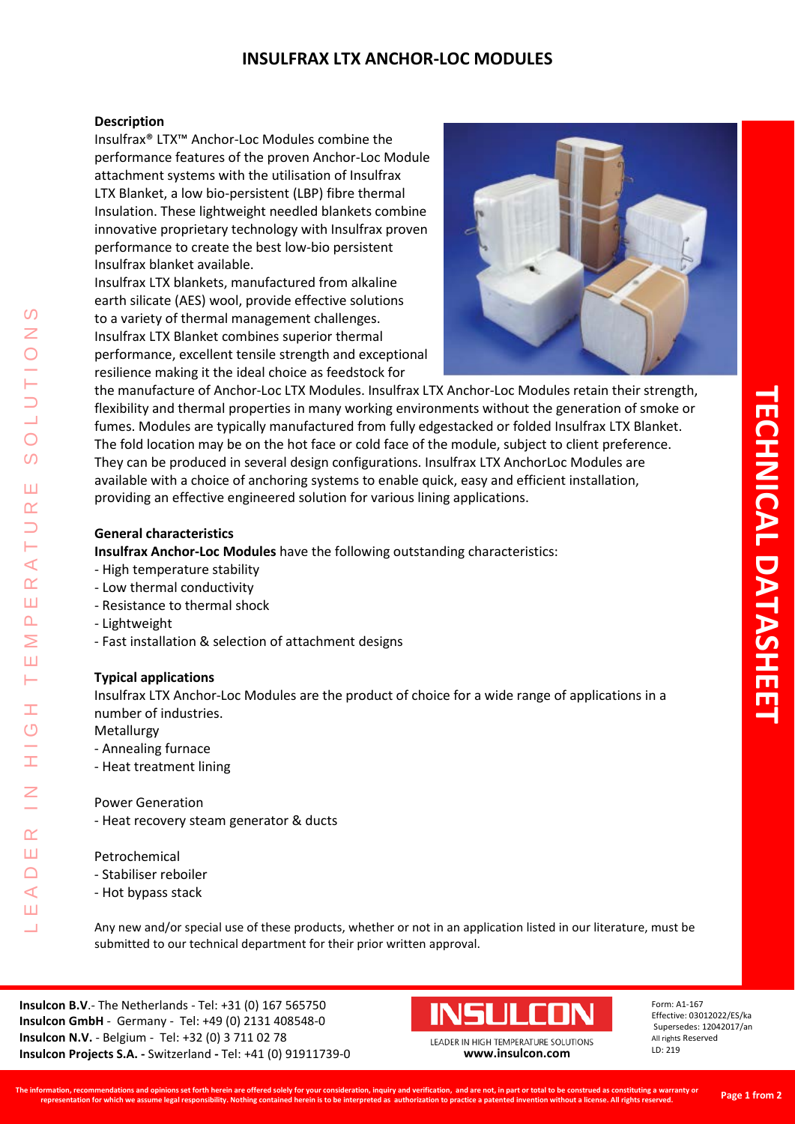## **INSULFRAX LTX ANCHOR-LOC MODULES**

### **Description**

Insulfrax® LTX™ Anchor-Loc Modules combine the performance features of the proven Anchor-Loc Module attachment systems with the utilisation of Insulfrax LTX Blanket, a low bio-persistent (LBP) fibre thermal Insulation. These lightweight needled blankets combine innovative proprietary technology with Insulfrax proven performance to create the best low-bio persistent Insulfrax blanket available.

Insulfrax LTX blankets, manufactured from alkaline earth silicate (AES) wool, provide effective solutions to a variety of thermal management challenges. Insulfrax LTX Blanket combines superior thermal performance, excellent tensile strength and exceptional resilience making it the ideal choice as feedstock for



the manufacture of Anchor-Loc LTX Modules. Insulfrax LTX Anchor-Loc Modules retain their strength, flexibility and thermal properties in many working environments without the generation of smoke or fumes. Modules are typically manufactured from fully edgestacked or folded Insulfrax LTX Blanket. The fold location may be on the hot face or cold face of the module, subject to client preference. They can be produced in several design configurations. Insulfrax LTX AnchorLoc Modules are available with a choice of anchoring systems to enable quick, easy and efficient installation, providing an effective engineered solution for various lining applications.

### **General characteristics**

**Insulfrax Anchor-Loc Modules** have the following outstanding characteristics:

- High temperature stability
- Low thermal conductivity
- Resistance to thermal shock
- Lightweight

LEADER IN HIGH TEMPERATURE SOLUTIONS

Ŧ  $\overline{O}$ 

 $\alpha$ Ш  $\Box$  $\blacktriangleleft$ Ш  $\overline{\phantom{0}}$ 

 $\blacktriangleleft$  $\alpha$ Ш  $\overline{\mathbf{r}}$ Σ Ш H

 $\Omega$ Z

 $\overline{O}$  $\Omega$ 

Ш  $\alpha$ 

- Fast installation & selection of attachment designs

### **Typical applications**

Insulfrax LTX Anchor-Loc Modules are the product of choice for a wide range of applications in a number of industries.

Metallurgy

- Annealing furnace
- Heat treatment lining

#### Power Generation

- Heat recovery steam generator & ducts

#### Petrochemical

- Stabiliser reboiler
- Hot bypass stack

Any new and/or special use of these products, whether or not in an application listed in our literature, must be submitted to our technical department for their prior written approval.

**Insulcon B.V**.- The Netherlands - Tel: +31 (0) 167 565750 **Insulcon GmbH** - Germany - Tel: +49 (0) 2131 408548-0 **Insulcon N.V.** - Belgium - Tel: +32 (0) 3 711 02 78 **Insulcon Projects S.A. -** Switzerland **-** Tel: +41 (0) 91911739-0 **[www.insulcon.com](http://www.insulcon.com/)**

# INSLILEN

LEADER IN HIGH TEMPERATURE SOLUTIONS

Form: A1-167 Effective: 03012022/ES/ka Supersedes: 12042017/an All rights Reserved LD: 219